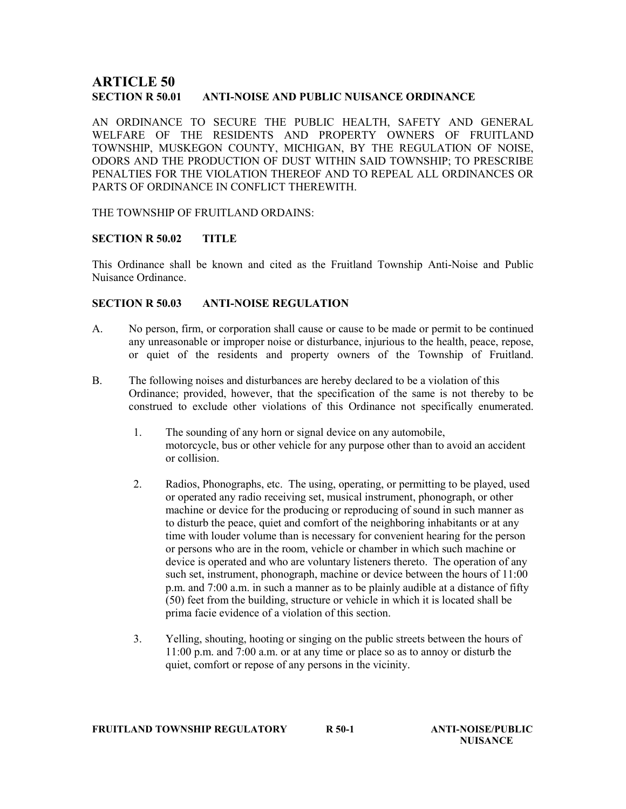# ARTICLE 50 SECTION R 50.01 ANTI-NOISE AND PUBLIC NUISANCE ORDINANCE

AN ORDINANCE TO SECURE THE PUBLIC HEALTH, SAFETY AND GENERAL WELFARE OF THE RESIDENTS AND PROPERTY OWNERS OF FRUITLAND TOWNSHIP, MUSKEGON COUNTY, MICHIGAN, BY THE REGULATION OF NOISE, ODORS AND THE PRODUCTION OF DUST WITHIN SAID TOWNSHIP; TO PRESCRIBE PENALTIES FOR THE VIOLATION THEREOF AND TO REPEAL ALL ORDINANCES OR PARTS OF ORDINANCE IN CONFLICT THEREWITH.

THE TOWNSHIP OF FRUITLAND ORDAINS:

### SECTION R 50.02 TITLE

This Ordinance shall be known and cited as the Fruitland Township Anti-Noise and Public Nuisance Ordinance.

### SECTION R 50.03 ANTI-NOISE REGULATION

- A. No person, firm, or corporation shall cause or cause to be made or permit to be continued any unreasonable or improper noise or disturbance, injurious to the health, peace, repose, or quiet of the residents and property owners of the Township of Fruitland.
- B. The following noises and disturbances are hereby declared to be a violation of this Ordinance; provided, however, that the specification of the same is not thereby to be construed to exclude other violations of this Ordinance not specifically enumerated.
	- 1. The sounding of any horn or signal device on any automobile, motorcycle, bus or other vehicle for any purpose other than to avoid an accident or collision.
	- 2. Radios, Phonographs, etc. The using, operating, or permitting to be played, used or operated any radio receiving set, musical instrument, phonograph, or other machine or device for the producing or reproducing of sound in such manner as to disturb the peace, quiet and comfort of the neighboring inhabitants or at any time with louder volume than is necessary for convenient hearing for the person or persons who are in the room, vehicle or chamber in which such machine or device is operated and who are voluntary listeners thereto. The operation of any such set, instrument, phonograph, machine or device between the hours of 11:00 p.m. and 7:00 a.m. in such a manner as to be plainly audible at a distance of fifty (50) feet from the building, structure or vehicle in which it is located shall be prima facie evidence of a violation of this section.
	- 3. Yelling, shouting, hooting or singing on the public streets between the hours of 11:00 p.m. and 7:00 a.m. or at any time or place so as to annoy or disturb the quiet, comfort or repose of any persons in the vicinity.

**NUISANCE**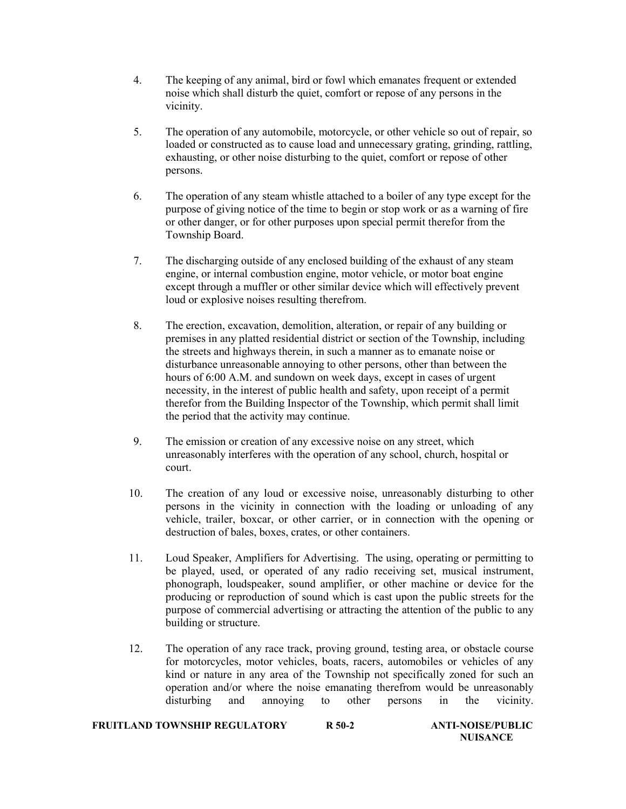- 4. The keeping of any animal, bird or fowl which emanates frequent or extended noise which shall disturb the quiet, comfort or repose of any persons in the vicinity.
- 5. The operation of any automobile, motorcycle, or other vehicle so out of repair, so loaded or constructed as to cause load and unnecessary grating, grinding, rattling, exhausting, or other noise disturbing to the quiet, comfort or repose of other persons.
- 6. The operation of any steam whistle attached to a boiler of any type except for the purpose of giving notice of the time to begin or stop work or as a warning of fire or other danger, or for other purposes upon special permit therefor from the Township Board.
- 7. The discharging outside of any enclosed building of the exhaust of any steam engine, or internal combustion engine, motor vehicle, or motor boat engine except through a muffler or other similar device which will effectively prevent loud or explosive noises resulting therefrom.
- 8. The erection, excavation, demolition, alteration, or repair of any building or premises in any platted residential district or section of the Township, including the streets and highways therein, in such a manner as to emanate noise or disturbance unreasonable annoying to other persons, other than between the hours of 6:00 A.M. and sundown on week days, except in cases of urgent necessity, in the interest of public health and safety, upon receipt of a permit therefor from the Building Inspector of the Township, which permit shall limit the period that the activity may continue.
- 9. The emission or creation of any excessive noise on any street, which unreasonably interferes with the operation of any school, church, hospital or court.
- 10. The creation of any loud or excessive noise, unreasonably disturbing to other persons in the vicinity in connection with the loading or unloading of any vehicle, trailer, boxcar, or other carrier, or in connection with the opening or destruction of bales, boxes, crates, or other containers.
- 11. Loud Speaker, Amplifiers for Advertising. The using, operating or permitting to be played, used, or operated of any radio receiving set, musical instrument, phonograph, loudspeaker, sound amplifier, or other machine or device for the producing or reproduction of sound which is cast upon the public streets for the purpose of commercial advertising or attracting the attention of the public to any building or structure.
- 12. The operation of any race track, proving ground, testing area, or obstacle course for motorcycles, motor vehicles, boats, racers, automobiles or vehicles of any kind or nature in any area of the Township not specifically zoned for such an operation and/or where the noise emanating therefrom would be unreasonably disturbing and annoying to other persons in the vicinity.

| <b>FRUITLAND TOWNSHIP REGULATORY</b><br>$R$ 50-2 |  |  |  |
|--------------------------------------------------|--|--|--|
|--------------------------------------------------|--|--|--|

ANTI-NOISE/PUBLIC **NUISANCE**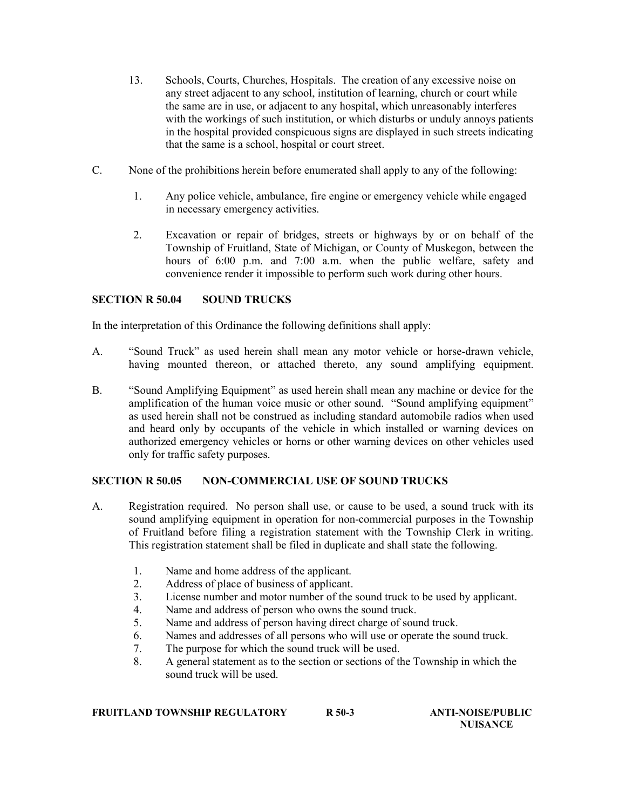- 13. Schools, Courts, Churches, Hospitals. The creation of any excessive noise on any street adjacent to any school, institution of learning, church or court while the same are in use, or adjacent to any hospital, which unreasonably interferes with the workings of such institution, or which disturbs or unduly annoys patients in the hospital provided conspicuous signs are displayed in such streets indicating that the same is a school, hospital or court street.
- C. None of the prohibitions herein before enumerated shall apply to any of the following:
	- 1. Any police vehicle, ambulance, fire engine or emergency vehicle while engaged in necessary emergency activities.
	- 2. Excavation or repair of bridges, streets or highways by or on behalf of the Township of Fruitland, State of Michigan, or County of Muskegon, between the hours of 6:00 p.m. and 7:00 a.m. when the public welfare, safety and convenience render it impossible to perform such work during other hours.

### SECTION R 50.04 SOUND TRUCKS

In the interpretation of this Ordinance the following definitions shall apply:

- A. "Sound Truck" as used herein shall mean any motor vehicle or horse-drawn vehicle, having mounted thereon, or attached thereto, any sound amplifying equipment.
- B. "Sound Amplifying Equipment" as used herein shall mean any machine or device for the amplification of the human voice music or other sound. "Sound amplifying equipment" as used herein shall not be construed as including standard automobile radios when used and heard only by occupants of the vehicle in which installed or warning devices on authorized emergency vehicles or horns or other warning devices on other vehicles used only for traffic safety purposes.

## SECTION R 50.05 NON-COMMERCIAL USE OF SOUND TRUCKS

- A. Registration required. No person shall use, or cause to be used, a sound truck with its sound amplifying equipment in operation for non-commercial purposes in the Township of Fruitland before filing a registration statement with the Township Clerk in writing. This registration statement shall be filed in duplicate and shall state the following.
	- 1. Name and home address of the applicant.
	- 2. Address of place of business of applicant.
	- 3. License number and motor number of the sound truck to be used by applicant.
	- 4. Name and address of person who owns the sound truck.
	- 5. Name and address of person having direct charge of sound truck.
	- 6. Names and addresses of all persons who will use or operate the sound truck.
	- 7. The purpose for which the sound truck will be used.
	- 8. A general statement as to the section or sections of the Township in which the sound truck will be used.

FRUITLAND TOWNSHIP REGULATORY R 50-3 ANTI-NOISE/PUBLIC<br>NUISANCE

NUISANCE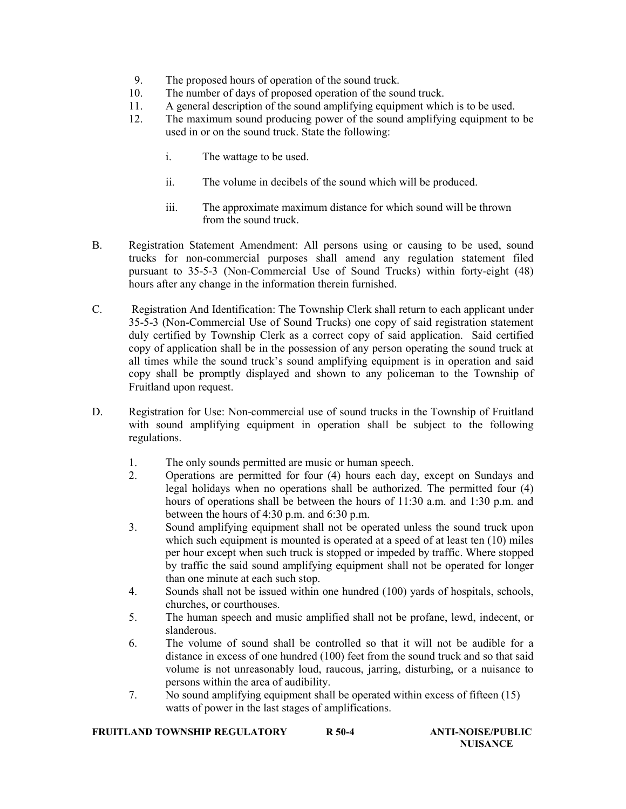- 9. The proposed hours of operation of the sound truck.
- 10. The number of days of proposed operation of the sound truck.
- 11. A general description of the sound amplifying equipment which is to be used.
- 12. The maximum sound producing power of the sound amplifying equipment to be used in or on the sound truck. State the following:
	- i. The wattage to be used.
	- ii. The volume in decibels of the sound which will be produced.
	- iii. The approximate maximum distance for which sound will be thrown from the sound truck.
- B. Registration Statement Amendment: All persons using or causing to be used, sound trucks for non-commercial purposes shall amend any regulation statement filed pursuant to 35-5-3 (Non-Commercial Use of Sound Trucks) within forty-eight (48) hours after any change in the information therein furnished.
- C. Registration And Identification: The Township Clerk shall return to each applicant under 35-5-3 (Non-Commercial Use of Sound Trucks) one copy of said registration statement duly certified by Township Clerk as a correct copy of said application. Said certified copy of application shall be in the possession of any person operating the sound truck at all times while the sound truck's sound amplifying equipment is in operation and said copy shall be promptly displayed and shown to any policeman to the Township of Fruitland upon request.
- D. Registration for Use: Non-commercial use of sound trucks in the Township of Fruitland with sound amplifying equipment in operation shall be subject to the following regulations.
	- 1. The only sounds permitted are music or human speech.
	- 2. Operations are permitted for four (4) hours each day, except on Sundays and legal holidays when no operations shall be authorized. The permitted four (4) hours of operations shall be between the hours of 11:30 a.m. and 1:30 p.m. and between the hours of 4:30 p.m. and 6:30 p.m.
	- 3. Sound amplifying equipment shall not be operated unless the sound truck upon which such equipment is mounted is operated at a speed of at least ten (10) miles per hour except when such truck is stopped or impeded by traffic. Where stopped by traffic the said sound amplifying equipment shall not be operated for longer than one minute at each such stop.
	- 4. Sounds shall not be issued within one hundred (100) yards of hospitals, schools, churches, or courthouses.
	- 5. The human speech and music amplified shall not be profane, lewd, indecent, or slanderous.
	- 6. The volume of sound shall be controlled so that it will not be audible for a distance in excess of one hundred (100) feet from the sound truck and so that said volume is not unreasonably loud, raucous, jarring, disturbing, or a nuisance to persons within the area of audibility.
	- 7. No sound amplifying equipment shall be operated within excess of fifteen (15) watts of power in the last stages of amplifications.

# FRUITLAND TOWNSHIP REGULATORY R 50-4 ANTI-NOISE/PUBLIC<br>NUISANCE